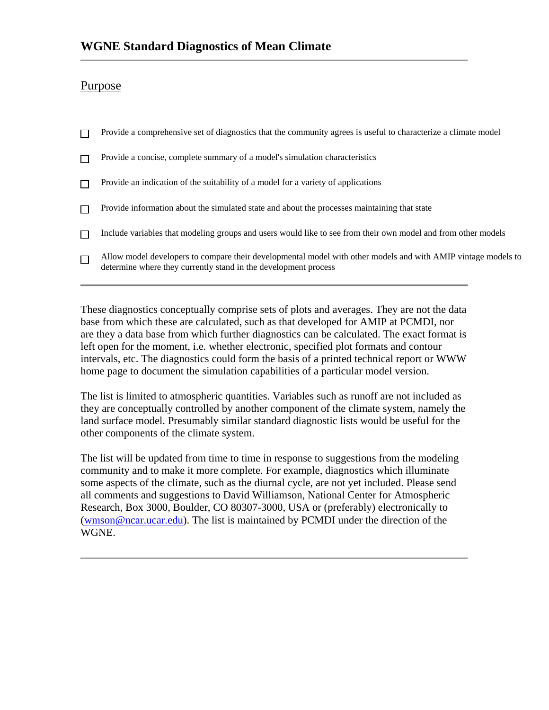# Purpose

 $\Box$  Provide a comprehensive set of diagnostics that the community agrees is useful to characterize a climate model Provide a concise, complete summary of a model's simulation characteristics  $\Box$  $\Box$  Provide an indication of the suitability of a model for a variety of applications Provide information about the simulated state and about the processes maintaining that state  $\Box$ Include variables that modeling groups and users would like to see from their own model and from other models  $\Box$ Allow model developers to compare their developmental model with other models and with AMIP vintage models to  $\Box$ determine where they currently stand in the development process

These diagnostics conceptually comprise sets of plots and averages. They are not the data base from which these are calculated, such as that developed for AMIP at PCMDI, nor are they a data base from which further diagnostics can be calculated. The exact format is left open for the moment, i.e. whether electronic, specified plot formats and contour intervals, etc. The diagnostics could form the basis of a printed technical report or WWW home page to document the simulation capabilities of a particular model version.

The list is limited to atmospheric quantities. Variables such as runoff are not included as they are conceptually controlled by another component of the climate system, namely the land surface model. Presumably similar standard diagnostic lists would be useful for the other components of the climate system.

The list will be updated from time to time in response to suggestions from the modeling community and to make it more complete. For example, diagnostics which illuminate some aspects of the climate, such as the diurnal cycle, are not yet included. Please send all comments and suggestions to David Williamson, National Center for Atmospheric Research, Box 3000, Boulder, CO 80307-3000, USA or (preferably) electronically to (wmson@ncar.ucar.edu). The list is maintained by PCMDI under the direction of the WGNE.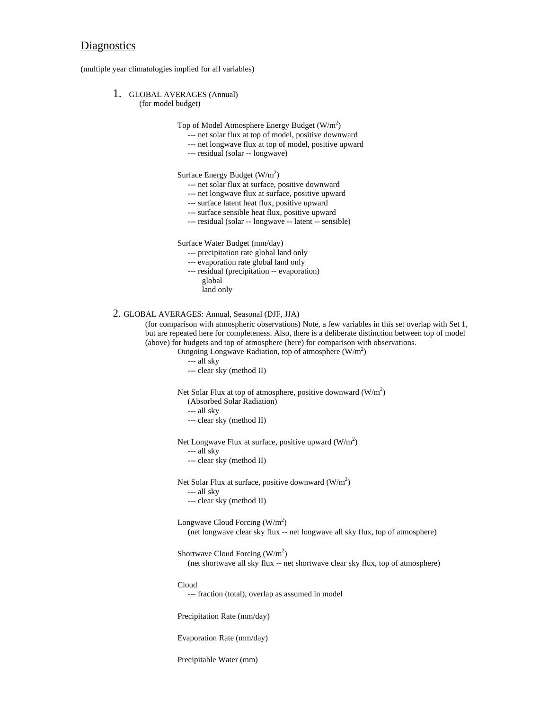## **Diagnostics**

(multiple year climatologies implied for all variables)

1. GLOBAL AVERAGES (Annual)

(for model budget)

Top of Model Atmosphere Energy Budget (W/m<sup>2</sup>)

- --- net solar flux at top of model, positive downward
- --- net longwave flux at top of model, positive upward
- --- residual (solar -- longwave)

Surface Energy Budget  $(W/m^2)$ 

- --- net solar flux at surface, positive downward
- --- net longwave flux at surface, positive upward
- --- surface latent heat flux, positive upward
- --- surface sensible heat flux, positive upward
- --- residual (solar -- longwave -- latent -- sensible)

Surface Water Budget (mm/day)

- --- precipitation rate global land only
- --- evaporation rate global land only
- --- residual (precipitation -- evaporation)
	- global
	- land only

### 2. GLOBAL AVERAGES: Annual, Seasonal (DJF, JJA)

(for comparison with atmospheric observations) Note, a few variables in this set overlap with Set 1, but are repeated here for completeness. Also, there is a deliberate distinction between top of model (above) for budgets and top of atmosphere (here) for comparison with observations.

Outgoing Longwave Radiation, top of atmosphere  $(W/m^2)$ 

- --- all sky
- --- clear sky (method II)

Net Solar Flux at top of atmosphere, positive downward  $(W/m^2)$ 

- (Absorbed Solar Radiation)
- --- all sky
- --- clear sky (method II)

Net Longwave Flux at surface, positive upward  $(W/m^2)$ 

--- all sky

--- clear sky (method II)

Net Solar Flux at surface, positive downward  $(W/m^2)$ 

- --- all sky
- --- clear sky (method II)

Longwave Cloud Forcing  $(W/m^2)$ 

(net longwave clear sky flux -- net longwave all sky flux, top of atmosphere)

Shortwave Cloud Forcing  $(W/m^2)$ (net shortwave all sky flux -- net shortwave clear sky flux, top of atmosphere)

Cloud

--- fraction (total), overlap as assumed in model

Precipitation Rate (mm/day)

Evaporation Rate (mm/day)

Precipitable Water (mm)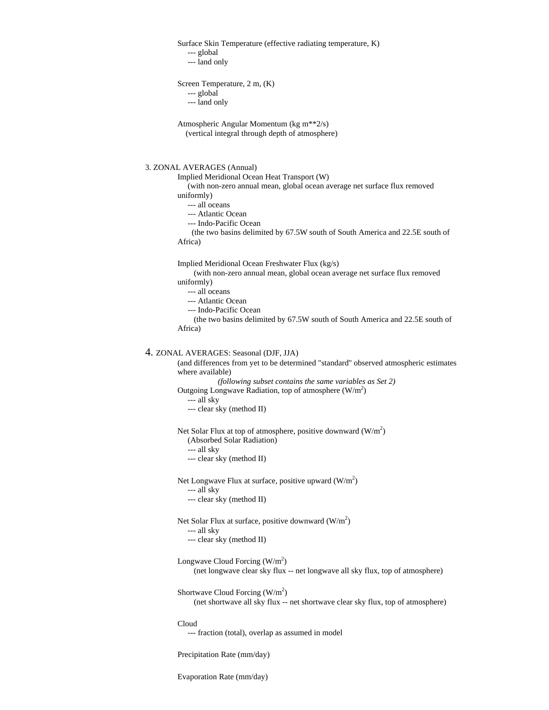Surface Skin Temperature (effective radiating temperature, K)

--- global

--- land only

```
Screen Temperature, 2 m, (K)
```
--- global

--- land only

Atmospheric Angular Momentum (kg m\*\*2/s) (vertical integral through depth of atmosphere)

#### 3. ZONAL AVERAGES (Annual)

Implied Meridional Ocean Heat Transport (W)

 (with non-zero annual mean, global ocean average net surface flux removed uniformly)

--- all oceans

--- Atlantic Ocean

--- Indo-Pacific Ocean

 (the two basins delimited by 67.5W south of South America and 22.5E south of Africa)

Implied Meridional Ocean Freshwater Flux (kg/s)

 (with non-zero annual mean, global ocean average net surface flux removed uniformly)

--- all oceans

--- Atlantic Ocean

--- Indo-Pacific Ocean

 (the two basins delimited by 67.5W south of South America and 22.5E south of Africa)

#### 4. ZONAL AVERAGES: Seasonal (DJF, JJA)

(and differences from yet to be determined "standard'' observed atmospheric estimates where available)

```
(following subset contains the same variables as Set 2)
Outgoing Longwave Radiation, top of atmosphere (W/m^2)
```
--- all sky

--- clear sky (method II)

Net Solar Flux at top of atmosphere, positive downward  $(W/m^2)$ 

(Absorbed Solar Radiation)

--- all sky

--- clear sky (method II)

Net Longwave Flux at surface, positive upward  $(W/m^2)$ 

- --- all sky
- --- clear sky (method II)

Net Solar Flux at surface, positive downward  $(W/m^2)$ 

--- all sky

--- clear sky (method II)

Longwave Cloud Forcing  $(W/m^2)$ (net longwave clear sky flux -- net longwave all sky flux, top of atmosphere)

Shortwave Cloud Forcing  $(W/m^2)$ (net shortwave all sky flux -- net shortwave clear sky flux, top of atmosphere)

Cloud

--- fraction (total), overlap as assumed in model

Precipitation Rate (mm/day)

Evaporation Rate (mm/day)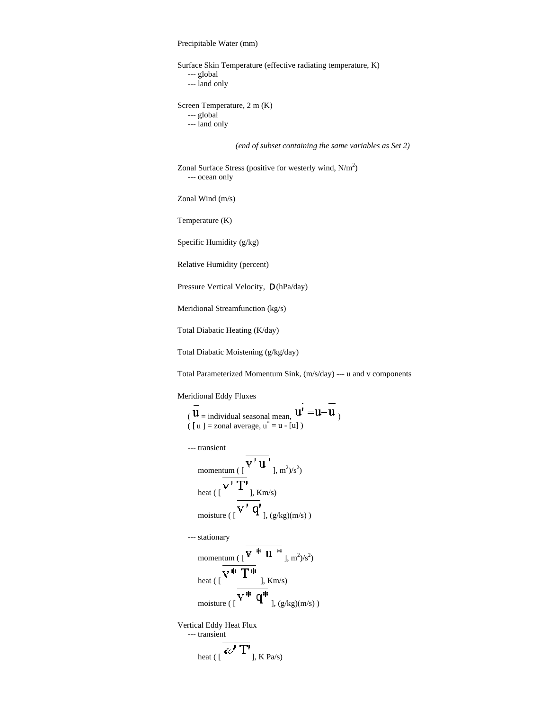Precipitable Water (mm)

Surface Skin Temperature (effective radiating temperature, K) --- global --- land only Screen Temperature, 2 m (K) --- global --- land only

*(end of subset containing the same variables as Set 2)*

Zonal Surface Stress (positive for westerly wind,  $N/m^2$ ) --- ocean only

Zonal Wind (m/s)

Temperature (K)

Specific Humidity (g/kg)

Relative Humidity (percent)

Pressure Vertical Velocity,  $\zeta$  (hPa/day)

Meridional Streamfunction (kg/s)

Total Diabatic Heating (K/day)

Total Diabatic Moistening (g/kg/day)

Total Parameterized Momentum Sink, (m/s/day) --- u and v components

 $\overline{a}$ 

Meridional Eddy Fluxes

$$
(\overline{\mathbf{u}}_{=}
$$
 individual seasonal mean,  $\mathbf{u'} = \mathbf{u} - \mathbf{u}$   
( [ u ] = zonal average,  $\mathbf{u}^* = \mathbf{u} - [\mathbf{u}]$  )

--- transient

$$
\begin{aligned}\n&\text{momentum } (\left[\begin{array}{c}\n\mathbf{V}^{\mathsf{T}} \mathbf{u}^{\mathsf{T}}\n\end{array}\right], \mathbf{m}^{2}/s^{2}) \\
&\text{heat } (\left[\begin{array}{c}\n\mathbf{V}^{\mathsf{T}} \mathbf{T}^{\mathsf{T}}\n\end{array}\right], \mathbf{K}\mathbf{m}/s) \\
&\text{moisture } (\left[\begin{array}{c}\n\mathbf{V}^{\mathsf{T}} \mathbf{q}^{\mathsf{T}}\n\end{array}\right], (\mathbf{g}/\mathbf{kg})(\mathbf{m}/s))\n\end{aligned}
$$

 --- stationary momentum ( $\begin{bmatrix} \mathbf{V} & \mathbf{H} & \mathbf{I} \\ \mathbf{V} & \mathbf{I} & \mathbf{I} \end{bmatrix}$ , m<sup>2</sup>)/s<sup>2</sup>) heat ( [  $\overline{v^*\ T^*}$  ],  $\text{\rm Km/s})$ moisture ( $\sqrt{\mathbf{v}^* \ \mathbf{q}^*}$  ],  $(g/kg)(m/s)$ )

Vertical Eddy Heat Flux --- transient heat (  $\overline{(\omega' T)}_{j, K \text{ Pa/s}}$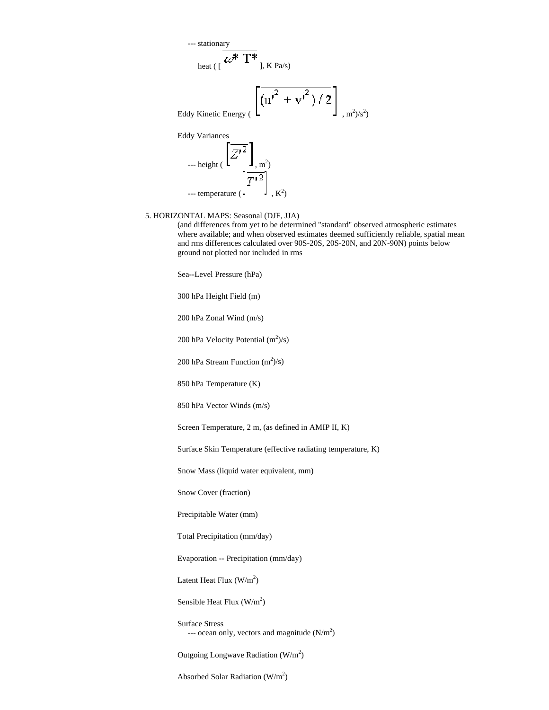--- stationary

$$
_{heat\,(\,[\,\,\mathscr{L}^{\textstyle{*}}\,T^{\textstyle{*}}\,],\,K\,Pa/s)}
$$

$$
(\left[\overline{{(u^i}^2 + {v^i}^2)/2}\right]_{, m^2/s^2})
$$

Eddy Variances  $\overline{Z'}^2$  $\mathbf{J}_{\text{m}^2}$  $\left[\overline{T'^2}\right]$  $\cdot$  K<sup>2</sup>)

#### 5. HORIZONTAL MAPS: Seasonal (DJF, JJA)

(and differences from yet to be determined "standard'' observed atmospheric estimates where available; and when observed estimates deemed sufficiently reliable, spatial mean and rms differences calculated over 90S-20S, 20S-20N, and 20N-90N) points below ground not plotted nor included in rms

Sea--Level Pressure (hPa)

300 hPa Height Field (m)

200 hPa Zonal Wind (m/s)

200 hPa Velocity Potential  $(m^2)/s$ )

200 hPa Stream Function  $(m^2)/s$ )

850 hPa Temperature (K)

850 hPa Vector Winds (m/s)

Screen Temperature, 2 m, (as defined in AMIP II, K)

Surface Skin Temperature (effective radiating temperature, K)

Snow Mass (liquid water equivalent, mm)

Snow Cover (fraction)

Precipitable Water (mm)

Total Precipitation (mm/day)

Evaporation -- Precipitation (mm/day)

Latent Heat Flux  $(W/m^2)$ 

Sensible Heat Flux  $(W/m^2)$ 

Surface Stress --- ocean only, vectors and magnitude  $(N/m^2)$ 

Outgoing Longwave Radiation  $(W/m^2)$ 

Absorbed Solar Radiation  $(W/m^2)$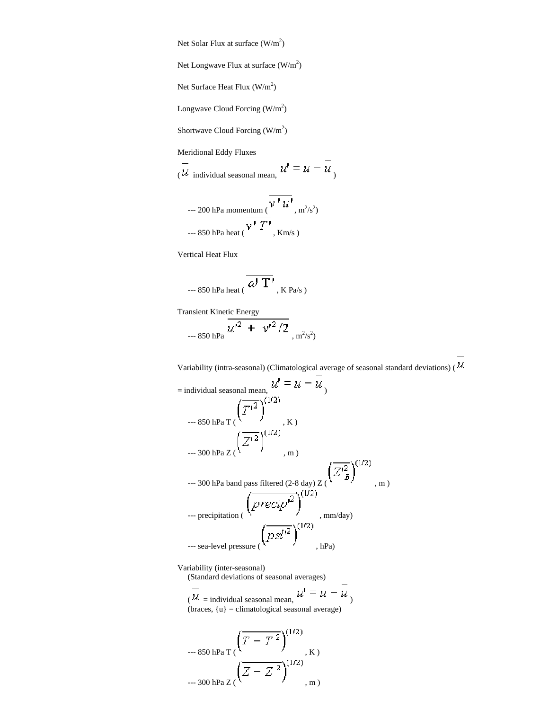Net Solar Flux at surface  $(W/m^2)$ 

Net Longwave Flux at surface  $(W/m^2)$ 

Net Surface Heat Flux  $(W/m^2)$ 

Longwave Cloud Forcing  $(W/m^2)$ 

Shortwave Cloud Forcing  $(W/m^2)$ 

Meridional Eddy Fluxes

 $\overline{u}$  individual seasonal mean,  $u' = u - \overline{u}$ 

--- 200 hPa momentum 
$$
(\overline{V'U'}
$$
, m<sup>2</sup>/s<sup>2</sup>)  
--- 850 hPa heat  $(V'T'$ , Km/s)

Vertical Heat Flux

$$
\left.\rule{0pt}{2.5ex}\right.^{-850\text{ hPa heat}}(\overline{\omega^{\prime}\ T^{\prime}}_{\text{K Pa/s}})
$$

Transient Kinetic Energy  $-850$  hPa  $\frac{2}{3}$ , m<sup>2</sup>/s<sup>2</sup>)

Variability (intra-seasonal) (Climatological average of seasonal standard deviations) (  $\cal U$ 

= individual seasonal mean, ) --- 850 hPa T ( , K ) --- 300 hPa Z ( , m ) --- 300 hPa band pass filtered (2-8 day) Z ( , m ) --- precipitation ( , mm/day) --- sea-level pressure ( , hPa)

Variability (inter-seasonal)

(Standard deviations of seasonal averages)

 $\overline{u}$  = individual seasonal mean,  $u' = u - \overline{u}$ (braces,  $\{u\}$  = climatological seasonal average)

$$
-850 \text{ hPa T} \left( \overline{T - T^2} \right)^{(1/2)} , K)
$$
  
- 300 hPa Z  $\left( \overline{Z - Z^2} \right)^{(1/2)} , m$